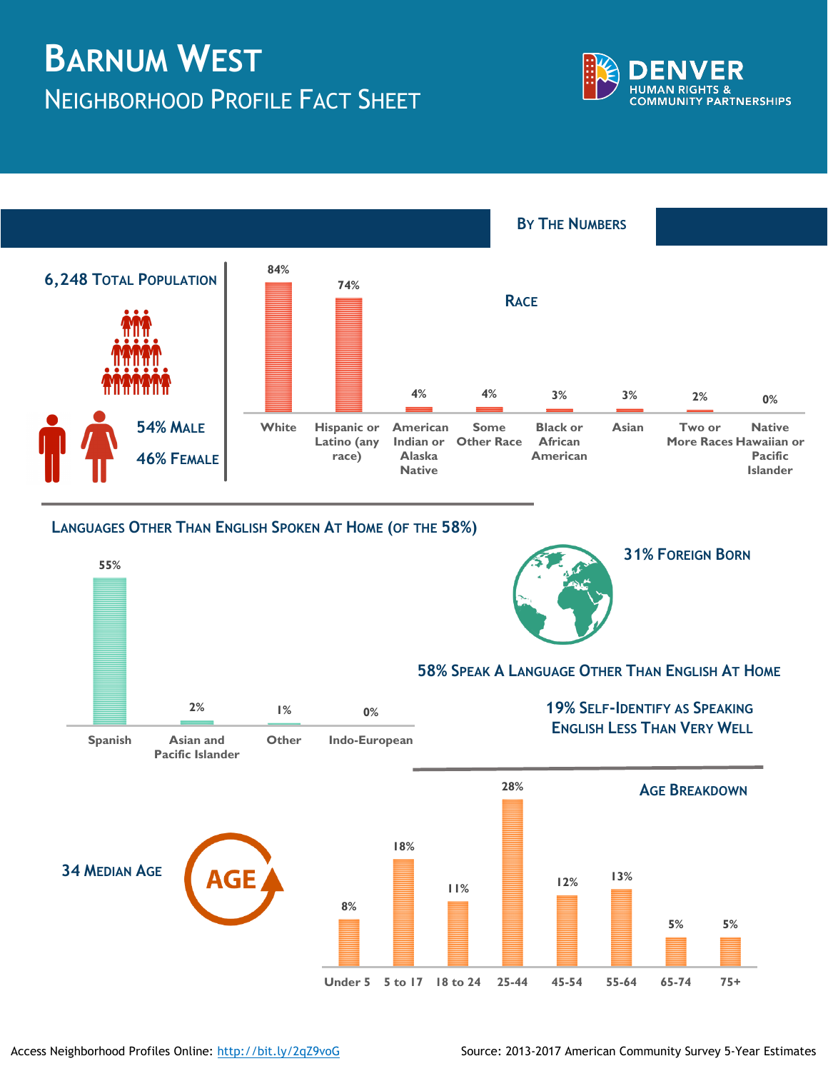## **BARNUM WEST** NEIGHBORHOOD PROFILE FACT SHEET





## **LANGUAGES OTHER THAN ENGLISH SPOKEN AT HOME (OF THE 58%)**